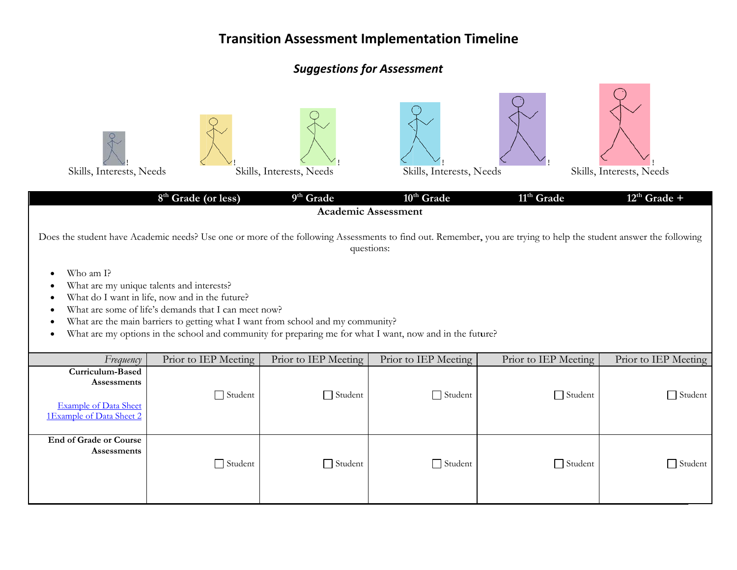## **Suggestions for Assessment**

 $\bigcap$ 

| Skills, Interests, Needs                                                                    | 8 <sup>th</sup> Grade (or less)                                                                                                                                                                                                                                                                                                                    | Skills, Interests, Needs<br>9 <sup>th</sup> Grade | Skills, Interests, Needs<br>10 <sup>th</sup> Grade<br><b>Academic Assessment</b> | 11 <sup>th</sup> Grade                                                                                                                                            | Skills, Interests, Needs<br>$12^{th}$ Grade + |
|---------------------------------------------------------------------------------------------|----------------------------------------------------------------------------------------------------------------------------------------------------------------------------------------------------------------------------------------------------------------------------------------------------------------------------------------------------|---------------------------------------------------|----------------------------------------------------------------------------------|-------------------------------------------------------------------------------------------------------------------------------------------------------------------|-----------------------------------------------|
|                                                                                             |                                                                                                                                                                                                                                                                                                                                                    |                                                   | questions:                                                                       | Does the student have Academic needs? Use one or more of the following Assessments to find out. Remember, you are trying to help the student answer the following |                                               |
| Who am I?<br>$\bullet$                                                                      | What are my unique talents and interests?<br>What do I want in life, now and in the future?<br>What are some of life's demands that I can meet now?<br>What are the main barriers to getting what I want from school and my community?<br>What are my options in the school and community for preparing me for what I want, now and in the future? |                                                   |                                                                                  |                                                                                                                                                                   |                                               |
| Frequency                                                                                   | Prior to IEP Meeting                                                                                                                                                                                                                                                                                                                               | Prior to IEP Meeting                              | Prior to IEP Meeting                                                             | Prior to IEP Meeting                                                                                                                                              | Prior to IEP Meeting                          |
| Curriculum-Based<br>Assessments<br><b>Example of Data Sheet</b><br>1Example of Data Sheet 2 | $\Box$ Student                                                                                                                                                                                                                                                                                                                                     | $\Box$ Student                                    | Student                                                                          | $\Box$ Student                                                                                                                                                    | $\Box$ Student                                |
| <b>End of Grade or Course</b><br>Assessments                                                | $\Box$ Student                                                                                                                                                                                                                                                                                                                                     | $\Box$ Student                                    | $\Box$ Student                                                                   | $\Box$ Student                                                                                                                                                    | $\Box$ Student                                |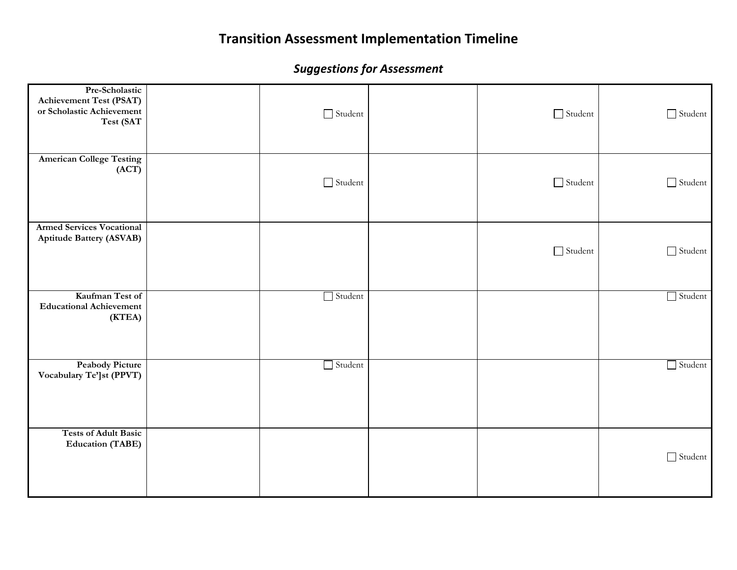| Pre-Scholastic<br><b>Achievement Test (PSAT)</b><br>or Scholastic Achievement<br>Test (SAT | $\hfill\Box$ Student | $\hfill\Box$ Student | $\hfill\textsf{Student}$ |
|--------------------------------------------------------------------------------------------|----------------------|----------------------|--------------------------|
| <b>American College Testing</b><br>(ACT)                                                   | $\hfill\Box$ Student | $\Box$ Student       | $\hfill\textsf{Student}$ |
| <b>Armed Services Vocational</b><br><b>Aptitude Battery (ASVAB)</b>                        |                      | $\Box$ Student       | Student                  |
| Kaufman Test of<br><b>Educational Achievement</b><br>(KTEA)                                | $\Box$ Student       |                      | $\Box$ Student           |
| <b>Peabody Picture</b><br>Vocabulary Te']st (PPVT)                                         | $\Box$ Student       |                      | $\Box$ Student           |
| <b>Tests of Adult Basic</b><br><b>Education (TABE)</b>                                     |                      |                      | $\Box$ Student           |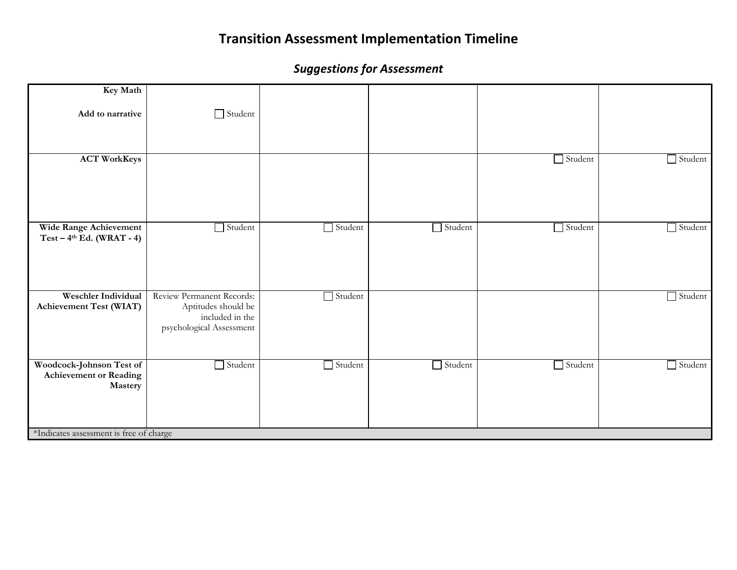| Key Math                                                             |                                                                                                 |                |                |                |                |
|----------------------------------------------------------------------|-------------------------------------------------------------------------------------------------|----------------|----------------|----------------|----------------|
| Add to narrative                                                     | Student                                                                                         |                |                |                |                |
|                                                                      |                                                                                                 |                |                |                |                |
| <b>ACT WorkKeys</b>                                                  |                                                                                                 |                |                | $\Box$ Student | $\Box$ Student |
| Wide Range Achievement<br>$Test-4th Ed. (WRAT - 4)$                  | Student                                                                                         | $\Box$ Student | Student        | Student        | Student        |
| Weschler Individual<br><b>Achievement Test (WIAT)</b>                | Review Permanent Records:<br>Aptitudes should be<br>included in the<br>psychological Assessment | $\Box$ Student |                |                | Student        |
| Woodcock-Johnson Test of<br><b>Achievement or Reading</b><br>Mastery | $\Box$ Student                                                                                  | $\Box$ Student | $\Box$ Student | $\Box$ Student | $\Box$ Student |
| *Indicates assessment is free of charge                              |                                                                                                 |                |                |                |                |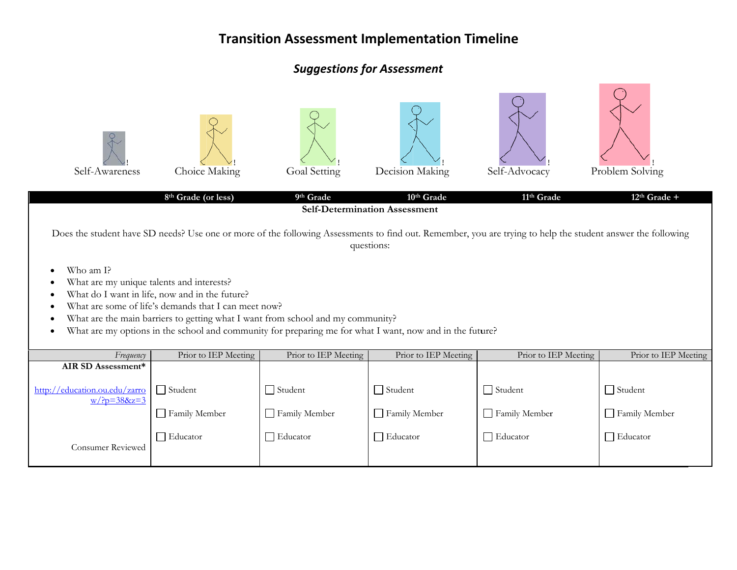## **Suggestions for Assessment**

| Self-Awareness                                                                                                                                                                                                                                                                                                                                                                                                                                                                                                                                    | Choice Making<br>8 <sup>th</sup> Grade (or less) | Goal Setting<br>9th Grade                          | Decision Making<br>10 <sup>th</sup> Grade<br><b>Self-Determination Assessment</b> | Self-Advocacy<br>11 <sup>th</sup> Grade            | Problem Solving<br>$12th$ Grade +             |  |  |  |
|---------------------------------------------------------------------------------------------------------------------------------------------------------------------------------------------------------------------------------------------------------------------------------------------------------------------------------------------------------------------------------------------------------------------------------------------------------------------------------------------------------------------------------------------------|--------------------------------------------------|----------------------------------------------------|-----------------------------------------------------------------------------------|----------------------------------------------------|-----------------------------------------------|--|--|--|
| Does the student have SD needs? Use one or more of the following Assessments to find out. Remember, you are trying to help the student answer the following<br>questions:<br>Who am I?<br>What are my unique talents and interests?<br>What do I want in life, now and in the future?<br>What are some of life's demands that I can meet now?<br>What are the main barriers to getting what I want from school and my community?<br>What are my options in the school and community for preparing me for what I want, now and in the future?<br>٠ |                                                  |                                                    |                                                                                   |                                                    |                                               |  |  |  |
| Frequency                                                                                                                                                                                                                                                                                                                                                                                                                                                                                                                                         | Prior to IEP Meeting                             | Prior to IEP Meeting                               | Prior to IEP Meeting                                                              | Prior to IEP Meeting                               | Prior to IEP Meeting                          |  |  |  |
| AIR SD Assessment*<br>http://education.ou.edu/zarro<br>$w/?p = 388z = 3$                                                                                                                                                                                                                                                                                                                                                                                                                                                                          | $\Box$ Student<br>Family Member<br>Educator      | $\Box$ Student<br>Family Member<br>$\Box$ Educator | $\Box$ Student<br>Family Member<br>$\Box$ Educator                                | $\Box$ Student<br>Family Member<br>$\Box$ Educator | $\Box$ Student<br>Family Member<br>□ Educator |  |  |  |
| <b>Consumer Reviewed</b>                                                                                                                                                                                                                                                                                                                                                                                                                                                                                                                          |                                                  |                                                    |                                                                                   |                                                    |                                               |  |  |  |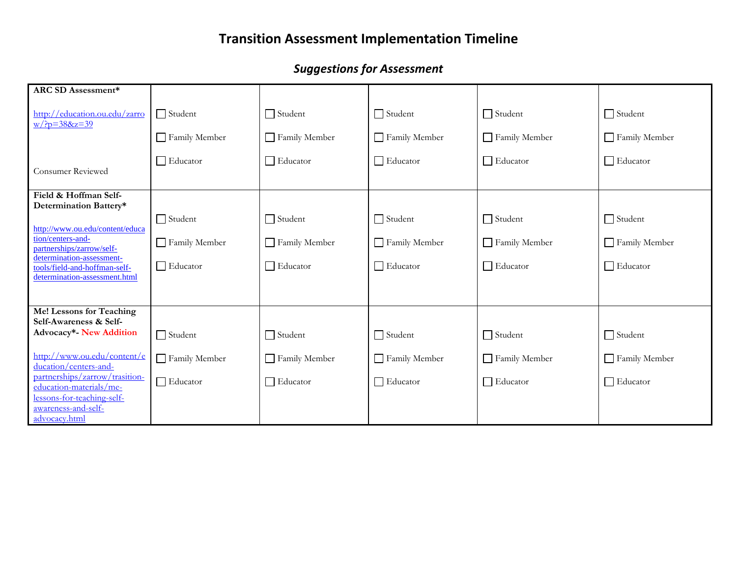| <b>ARC SD Assessment*</b>                                                                   |                 |                 |                 |                 |                 |
|---------------------------------------------------------------------------------------------|-----------------|-----------------|-----------------|-----------------|-----------------|
| http://education.ou.edu/zarro<br>$W/?p = 388z = 39$                                         | $\Box$ Student  | $\Box$ Student  | $\Box$ Student  | $\Box$ Student  | $\Box$ Student  |
|                                                                                             | Family Member   | Family Member   | Family Member   | Family Member   | Family Member   |
| Consumer Reviewed                                                                           | $\Box$ Educator | $\Box$ Educator | $\Box$ Educator | $\Box$ Educator | $\Box$ Educator |
| Field & Hoffman Self-<br>Determination Battery*                                             |                 |                 |                 |                 |                 |
| http://www.ou.edu/content/educa                                                             | $\Box$ Student  | $\Box$ Student  | $\Box$ Student  | $\Box$ Student  | $\Box$ Student  |
| tion/centers-and-<br>partnerships/zarrow/self-                                              | Family Member   | Family Member   | Family Member   | Family Member   | Family Member   |
| determination-assessment-<br>tools/field-and-hoffman-self-<br>determination-assessment.html | Educator        | $\Box$ Educator | □ Educator      | $\Box$ Educator | $\Box$ Educator |
|                                                                                             |                 |                 |                 |                 |                 |
| Me! Lessons for Teaching<br>Self-Awareness & Self-                                          |                 |                 |                 |                 |                 |
| Advocacy*- New Addition                                                                     | $\Box$ Student  | $\Box$ Student  | $\Box$ Student  | $\Box$ Student  | $\Box$ Student  |
| http://www.ou.edu/content/e<br>ducation/centers-and-                                        | Family Member   | Family Member   | Family Member   | Family Member   | Family Member   |
| partnerships/zarrow/trasition-<br>education-materials/me-                                   | $\Box$ Educator | $\Box$ Educator | $\Box$ Educator | $\Box$ Educator | $\Box$ Educator |
| lessons-for-teaching-self-<br>awareness-and-self-<br>advocacy.html                          |                 |                 |                 |                 |                 |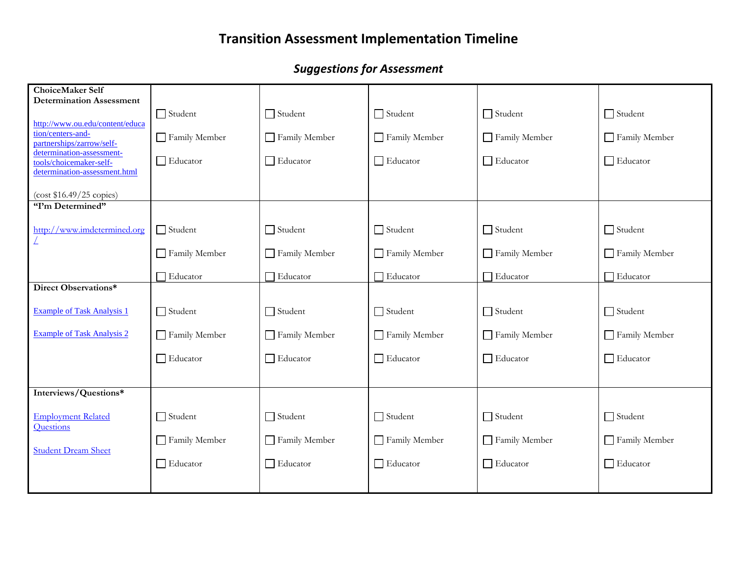| <b>ChoiceMaker Self</b><br><b>Determination Assessment</b>                            |                 |                 |                 |                 |                 |
|---------------------------------------------------------------------------------------|-----------------|-----------------|-----------------|-----------------|-----------------|
|                                                                                       | Student         | $\Box$ Student  | $\Box$ Student  | $\Box$ Student  | $\Box$ Student  |
| http://www.ou.edu/content/educa<br>tion/centers-and-<br>partnerships/zarrow/self-     | Family Member   | Family Member   | Family Member   | Family Member   | Family Member   |
| determination-assessment-<br>tools/choicemaker-self-<br>determination-assessment.html | $\Box$ Educator | $\Box$ Educator | $\Box$ Educator | $\Box$ Educator | $\Box$ Educator |
| $\left(\cos\frac{15.49}{25}\right)$ copies)                                           |                 |                 |                 |                 |                 |
| "I'm Determined"                                                                      |                 |                 |                 |                 |                 |
| http://www.imdetermined.org                                                           | $\Box$ Student  | $\Box$ Student  | $\Box$ Student  | $\Box$ Student  | $\Box$ Student  |
|                                                                                       | Family Member   | Family Member   | Family Member   | Family Member   | Family Member   |
|                                                                                       | Educator        | Educator        | □ Educator      | Educator        | $\Box$ Educator |
| Direct Observations*                                                                  |                 |                 |                 |                 |                 |
| <b>Example of Task Analysis 1</b>                                                     | $\Box$ Student  | $\Box$ Student  | $\Box$ Student  | $\Box$ Student  | $\Box$ Student  |
| <b>Example of Task Analysis 2</b>                                                     | Family Member   | Family Member   | Family Member   | Family Member   | Family Member   |
|                                                                                       | Educator        | $\Box$ Educator | Educator        | $\Box$ Educator | $\Box$ Educator |
|                                                                                       |                 |                 |                 |                 |                 |
| Interviews/Questions*                                                                 |                 |                 |                 |                 |                 |
| <b>Employment Related</b><br>Questions                                                | $\Box$ Student  | $\Box$ Student  | $\Box$ Student  | $\Box$ Student  | $\Box$ Student  |
| <b>Student Dream Sheet</b>                                                            | Family Member   | Family Member   | Family Member   | Family Member   | Family Member   |
|                                                                                       | $\Box$ Educator | $\Box$ Educator | □ Educator      | $\Box$ Educator | $\Box$ Educator |
|                                                                                       |                 |                 |                 |                 |                 |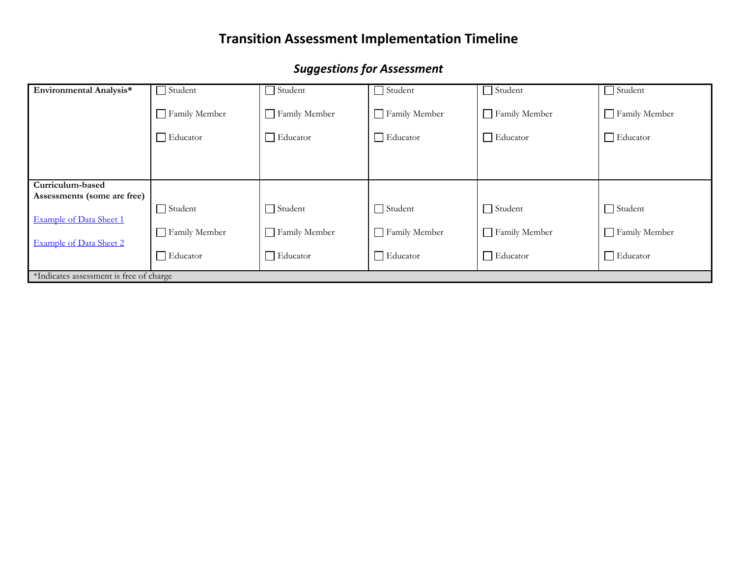| Environmental Analysis*                         | $\exists$ Student | $\Box$ Student  | $\Box$ Student  | $\Box$ Student  | $\Box$ Student  |
|-------------------------------------------------|-------------------|-----------------|-----------------|-----------------|-----------------|
|                                                 | Family Member     | Family Member   | Family Member   | Family Member   | Family Member   |
|                                                 | $\Box$ Educator   | $\Box$ Educator | $\Box$ Educator | $\Box$ Educator | $\Box$ Educator |
|                                                 |                   |                 |                 |                 |                 |
|                                                 |                   |                 |                 |                 |                 |
| Curriculum-based<br>Assessments (some are free) |                   |                 |                 |                 |                 |
| <b>Example of Data Sheet 1</b>                  | $\Box$ Student    | $\Box$ Student  | $\Box$ Student  | $\Box$ Student  | $\Box$ Student  |
| <b>Example of Data Sheet 2</b>                  | Family Member     | Family Member   | Family Member   | Family Member   | Family Member   |
|                                                 | $\Box$ Educator   | $\Box$ Educator | $\Box$ Educator | $\Box$ Educator | $\Box$ Educator |
| *Indicates assessment is free of charge         |                   |                 |                 |                 |                 |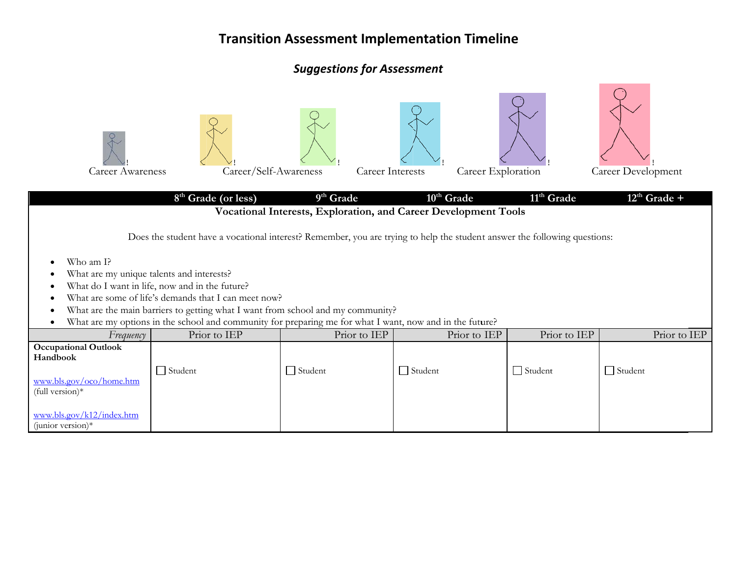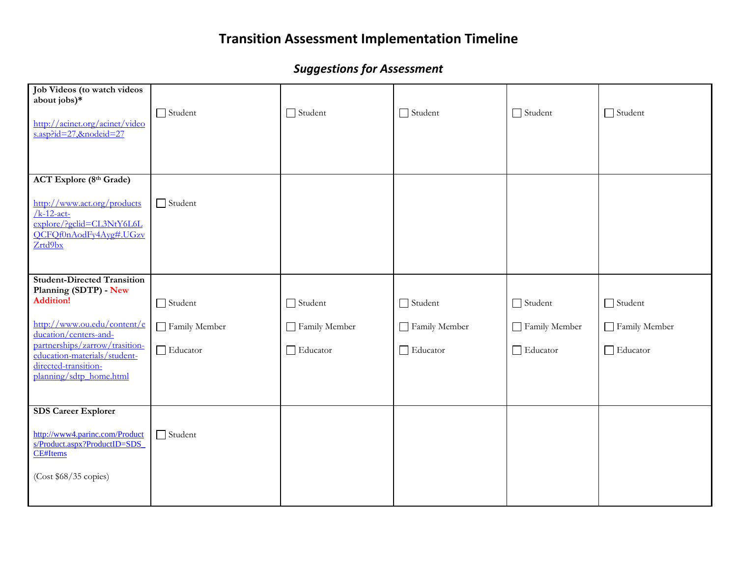| Job Videos (to watch videos<br>about jobs)*<br>http://acinet.org/acinet/video<br>s.asp?id=27,&nodeid=27                                          | $\Box$ Student | $\Box$ Student | $\Box$ Student | $\Box$ Student  | $\Box$ Student |
|--------------------------------------------------------------------------------------------------------------------------------------------------|----------------|----------------|----------------|-----------------|----------------|
|                                                                                                                                                  |                |                |                |                 |                |
| <b>ACT Explore (8th Grade)</b><br>http://www.act.org/products<br>$/k-12$ -act-<br>explore/?gclid=CL3NtY6L6L<br>OCFOf0nAodFy4Ayg#.UGzv<br>Zrtd9bx | $\Box$ Student |                |                |                 |                |
|                                                                                                                                                  |                |                |                |                 |                |
| <b>Student-Directed Transition</b><br>Planning (SDTP) - New<br><b>Addition!</b>                                                                  | $\Box$ Student | $\Box$ Student | $\Box$ Student | $\Box$ Student  | $\Box$ Student |
| http://www.ou.edu/content/e<br>ducation/centers-and-                                                                                             | Family Member  | Family Member  | Family Member  | Family Member   | Family Member  |
| partnerships/zarrow/trasition-<br>education-materials/student-<br>directed-transition-<br>planning/sdtp_home.html                                | Educator       | Educator       | Educator       | $\Box$ Educator | Educator       |
| <b>SDS Career Explorer</b>                                                                                                                       |                |                |                |                 |                |
| http://www4.parinc.com/Product<br>s/Product.aspx?ProductID=SDS<br><b>CE#Items</b>                                                                | $\Box$ Student |                |                |                 |                |
| (Cost \$68/35 copies)                                                                                                                            |                |                |                |                 |                |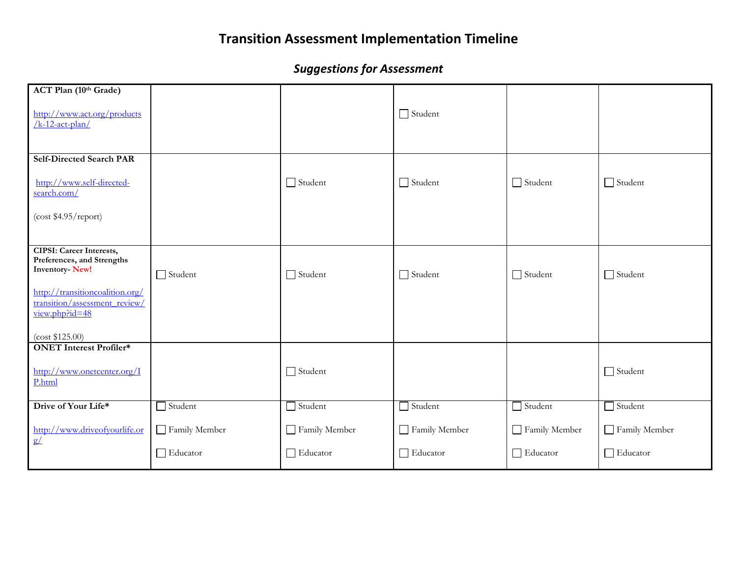| ACT Plan (10th Grade)                                                                  |                |                |                 |                |                |
|----------------------------------------------------------------------------------------|----------------|----------------|-----------------|----------------|----------------|
| http://www.act.org/products<br>$/k-12$ -act-plan/                                      |                |                | $\Box$ Student  |                |                |
|                                                                                        |                |                |                 |                |                |
| <b>Self-Directed Search PAR</b>                                                        |                |                |                 |                |                |
| http://www.self-directed-<br>search.com/                                               |                | $\Box$ Student | $\Box$ Student  | $\Box$ Student | $\Box$ Student |
| (cost \$4.95/report)                                                                   |                |                |                 |                |                |
|                                                                                        |                |                |                 |                |                |
| <b>CIPSI: Career Interests,</b><br>Preferences, and Strengths<br><b>Inventory-New!</b> | $\Box$ Student | $\Box$ Student | $\Box$ Student  | $\Box$ Student | $\Box$ Student |
|                                                                                        |                |                |                 |                |                |
| http://transitioncoalition.org/<br>transition/assessment review/<br>view.php?id=48     |                |                |                 |                |                |
|                                                                                        |                |                |                 |                |                |
| (cost \$125.00)<br><b>ONET</b> Interest Profiler*                                      |                |                |                 |                |                |
| http://www.onetcenter.org/I<br>P.html                                                  |                | $\Box$ Student |                 |                | $\Box$ Student |
| Drive of Your Life*                                                                    | $\Box$ Student | $\Box$ Student | $\Box$ Student  | $\Box$ Student | $\Box$ Student |
| $\frac{\text{http://www.driveofyourlife. or}}{\text{g}\angle}$                         | Family Member  | Family Member  | Family Member   | Family Member  | Family Member  |
|                                                                                        | Educator       | Educator       | $\Box$ Educator | Educator       | □ Educator     |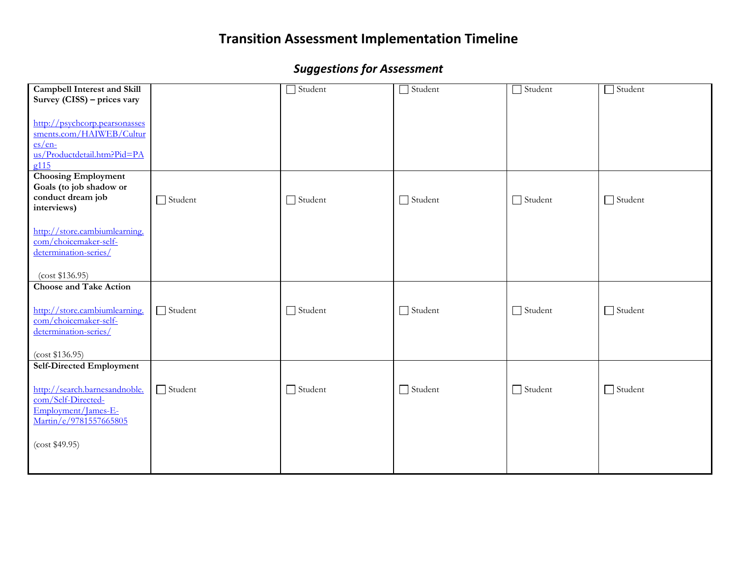| <b>Campbell Interest and Skill</b> |                | Student        | $\Box$ Student | $\Box$ Student | $\Box$ Student |
|------------------------------------|----------------|----------------|----------------|----------------|----------------|
| Survey (CISS) - prices vary        |                |                |                |                |                |
|                                    |                |                |                |                |                |
| http://psychcorp.pearsonasses      |                |                |                |                |                |
| sments.com/HAIWEB/Cultur           |                |                |                |                |                |
| $es/en-$                           |                |                |                |                |                |
| us/Productdetail.htm?Pid=PA        |                |                |                |                |                |
| g115                               |                |                |                |                |                |
| <b>Choosing Employment</b>         |                |                |                |                |                |
| Goals (to job shadow or            |                |                |                |                |                |
| conduct dream job                  | $\Box$ Student | $\Box$ Student | $\Box$ Student | $\Box$ Student | $\Box$ Student |
| interviews)                        |                |                |                |                |                |
|                                    |                |                |                |                |                |
| http://store.cambiumlearning.      |                |                |                |                |                |
| com/choicemaker-self-              |                |                |                |                |                |
| determination-series/              |                |                |                |                |                |
|                                    |                |                |                |                |                |
| (cost \$136.95)                    |                |                |                |                |                |
| <b>Choose and Take Action</b>      |                |                |                |                |                |
|                                    |                |                |                |                |                |
| http://store.cambiumlearning.      | $\Box$ Student | $\Box$ Student | $\Box$ Student | $\Box$ Student | $\Box$ Student |
| com/choicemaker-self-              |                |                |                |                |                |
| determination-series/              |                |                |                |                |                |
|                                    |                |                |                |                |                |
| (cost \$136.95)                    |                |                |                |                |                |
| <b>Self-Directed Employment</b>    |                |                |                |                |                |
|                                    |                |                |                |                |                |
| http://search.barnesandnoble.      | $\Box$ Student | $\Box$ Student | $\Box$ Student | $\Box$ Student | $\Box$ Student |
| com/Self-Directed-                 |                |                |                |                |                |
| Employment/James-E-                |                |                |                |                |                |
| Martin/e/9781557665805             |                |                |                |                |                |
|                                    |                |                |                |                |                |
| (cost \$49.95)                     |                |                |                |                |                |
|                                    |                |                |                |                |                |
|                                    |                |                |                |                |                |
|                                    |                |                |                |                |                |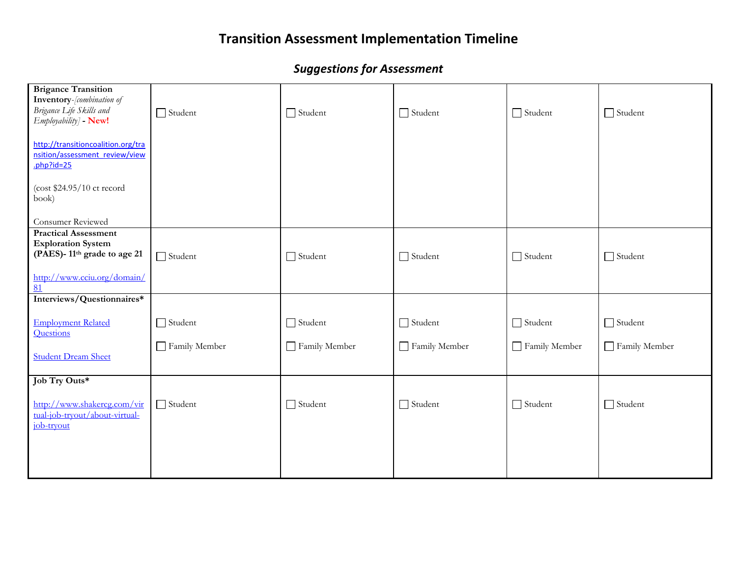| <b>Brigance Transition</b>                                           |                |                |                |                |                |
|----------------------------------------------------------------------|----------------|----------------|----------------|----------------|----------------|
| Inventory-[combination of<br>Brigance Life Skills and                | $\Box$ Student | $\Box$ Student | $\Box$ Student | $\Box$ Student | $\Box$ Student |
| Employability] - New!                                                |                |                |                |                |                |
|                                                                      |                |                |                |                |                |
| http://transitioncoalition.org/tra<br>nsition/assessment review/view |                |                |                |                |                |
| $php?$ id=25                                                         |                |                |                |                |                |
|                                                                      |                |                |                |                |                |
| (cost \$24.95/10 ct record                                           |                |                |                |                |                |
| book)                                                                |                |                |                |                |                |
| Consumer Reviewed                                                    |                |                |                |                |                |
| <b>Practical Assessment</b>                                          |                |                |                |                |                |
| <b>Exploration System</b>                                            |                |                |                |                |                |
| (PAES)-11 <sup>th</sup> grade to age 21                              | $\Box$ Student | Student        | $\Box$ Student | $\Box$ Student | $\Box$ Student |
| http://www.cciu.org/domain/                                          |                |                |                |                |                |
| 81                                                                   |                |                |                |                |                |
| Interviews/Questionnaires*                                           |                |                |                |                |                |
|                                                                      |                |                |                |                |                |
| <b>Employment Related</b>                                            | $\Box$ Student | $\Box$ Student | $\Box$ Student | $\Box$ Student | $\Box$ Student |
| <b>Ouestions</b>                                                     | Family Member  |                |                |                |                |
| <b>Student Dream Sheet</b>                                           |                | Family Member  | Family Member  | Family Member  | Family Member  |
|                                                                      |                |                |                |                |                |
| Job Try Outs*                                                        |                |                |                |                |                |
|                                                                      |                |                |                |                |                |
| http://www.shakercg.com/vir                                          | $\Box$ Student | Student        | $\Box$ Student | $\Box$ Student | Student        |
| tual-job-tryout/about-virtual-<br>job-tryout                         |                |                |                |                |                |
|                                                                      |                |                |                |                |                |
|                                                                      |                |                |                |                |                |
|                                                                      |                |                |                |                |                |
|                                                                      |                |                |                |                |                |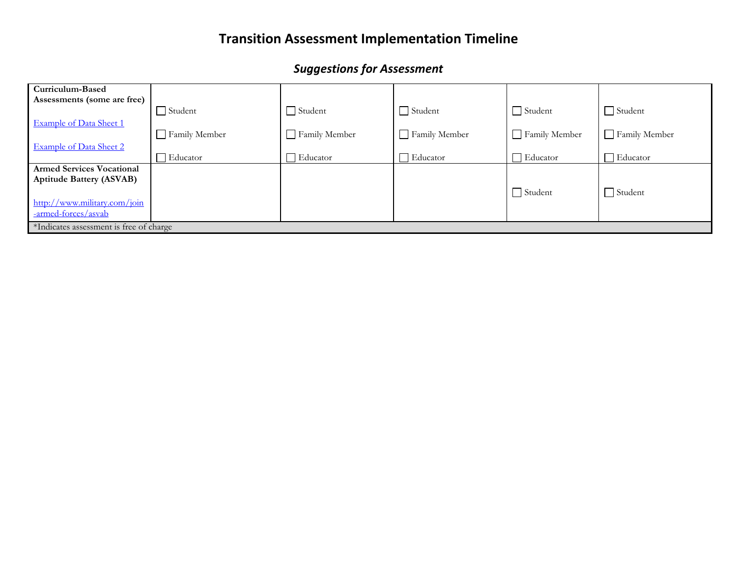| Curriculum-Based                        |                |                |                    |                 |                 |
|-----------------------------------------|----------------|----------------|--------------------|-----------------|-----------------|
| Assessments (some are free)             |                |                |                    |                 |                 |
|                                         | $\Box$ Student | $\Box$ Student | $\Box$ Student     | $\Box$ Student  | $\Box$ Student  |
| <b>Example of Data Sheet 1</b>          |                |                |                    |                 |                 |
|                                         | Family Member  | Family Member  | Family Member      | Family Member   | Family Member   |
| <b>Example of Data Sheet 2</b>          |                |                |                    |                 |                 |
|                                         | Educator       | Educator       | $\exists$ Educator | $\Box$ Educator | $\Box$ Educator |
| <b>Armed Services Vocational</b>        |                |                |                    |                 |                 |
| <b>Aptitude Battery (ASVAB)</b>         |                |                |                    |                 |                 |
|                                         |                |                |                    | $\Box$ Student  | $\Box$ Student  |
| http://www.military.com/join            |                |                |                    |                 |                 |
| -armed-forces/asyab                     |                |                |                    |                 |                 |
| *Indicates assessment is free of charge |                |                |                    |                 |                 |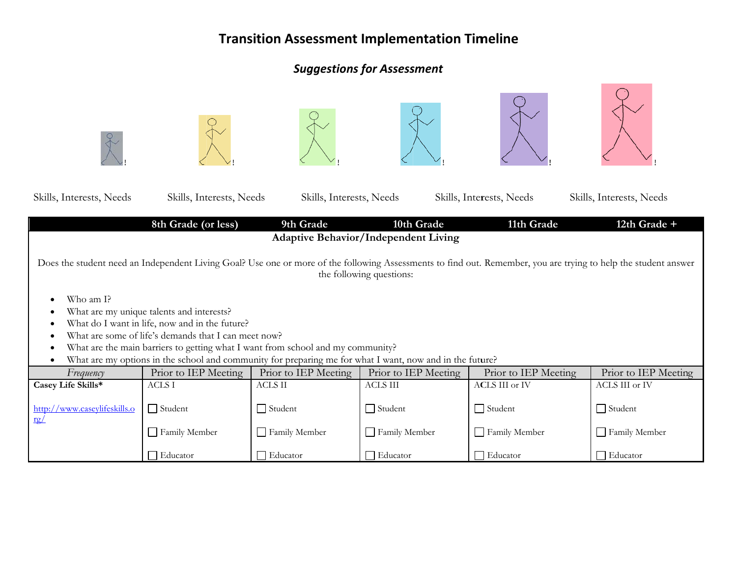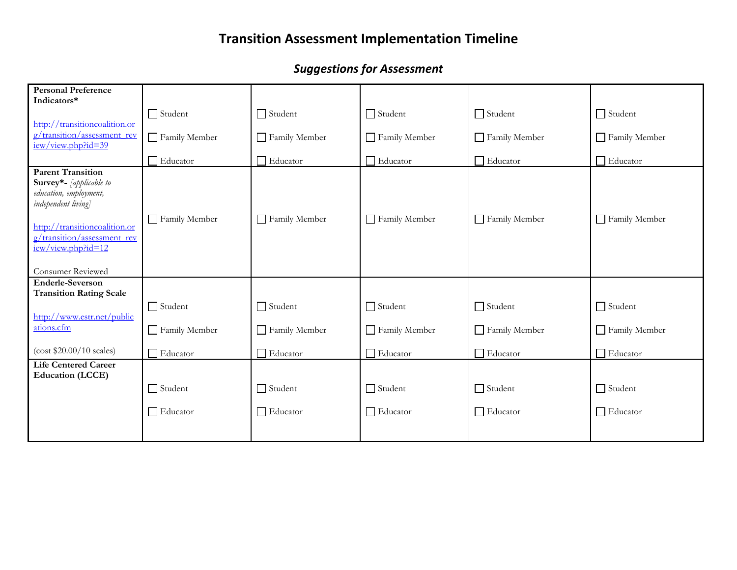| <b>Personal Preference</b><br>Indicators*                                                                                                                                                  |                 |                 |                 |                |                 |
|--------------------------------------------------------------------------------------------------------------------------------------------------------------------------------------------|-----------------|-----------------|-----------------|----------------|-----------------|
|                                                                                                                                                                                            | $\Box$ Student  | $\Box$ Student  | $\Box$ Student  | $\Box$ Student | $\Box$ Student  |
| http://transitioncoalition.or<br>g/transition/assessment_rev<br>iew/view.php?id=39                                                                                                         | Family Member   | Family Member   | Family Member   | Family Member  | Family Member   |
|                                                                                                                                                                                            | Educator        | $\Box$ Educator | $\Box$ Educator | Educator       | $\Box$ Educator |
| <b>Parent Transition</b><br>Survey*- [applicable to<br>education, employment,<br>independent living]<br>http://transitioncoalition.or<br>g/transition/assessment_rev<br>iew/view.php?id=12 | Family Member   | Family Member   | Family Member   | Family Member  | Family Member   |
| <b>Consumer Reviewed</b><br><b>Enderle-Severson</b>                                                                                                                                        |                 |                 |                 |                |                 |
| <b>Transition Rating Scale</b>                                                                                                                                                             |                 |                 |                 |                |                 |
|                                                                                                                                                                                            | $\Box$ Student  | $\Box$ Student  | $\Box$ Student  | $\Box$ Student | Student         |
| http://www.estr.net/public<br>ations.cfm                                                                                                                                                   | Family Member   | Family Member   | Family Member   | Family Member  | Family Member   |
| (cost \$20.00/10 scales)                                                                                                                                                                   | $\Box$ Educator | $\Box$ Educator | $\Box$ Educator | □ Educator     | □ Educator      |
| <b>Life Centered Career</b><br><b>Education (LCCE)</b>                                                                                                                                     |                 |                 |                 |                |                 |
|                                                                                                                                                                                            | $\Box$ Student  | $\Box$ Student  | $\Box$ Student  | $\Box$ Student | $\Box$ Student  |
|                                                                                                                                                                                            | $\Box$ Educator | $\Box$ Educator | $\Box$ Educator | Educator       | $\Box$ Educator |
|                                                                                                                                                                                            |                 |                 |                 |                |                 |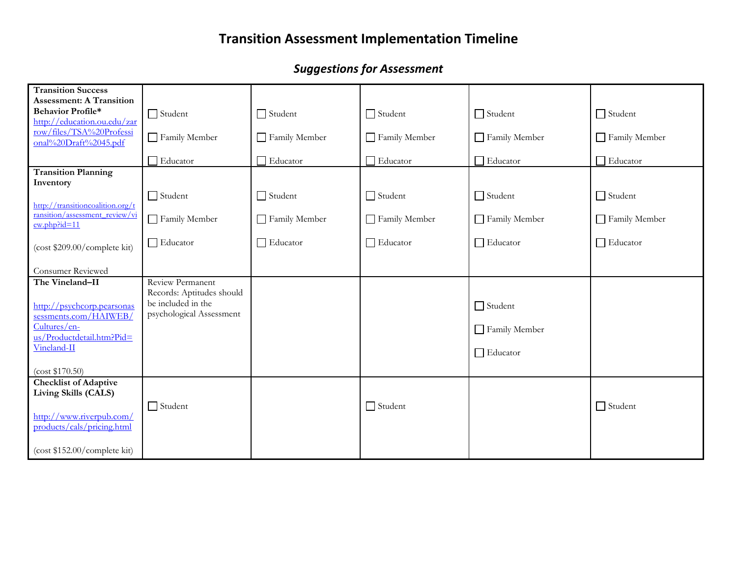| <b>Transition Success</b>                                          |                                                 |                 |                 |                |                 |
|--------------------------------------------------------------------|-------------------------------------------------|-----------------|-----------------|----------------|-----------------|
| <b>Assessment: A Transition</b><br><b>Behavior Profile*</b>        |                                                 |                 |                 |                |                 |
| http://education.ou.edu/zar                                        | $\Box$ Student                                  | $\Box$ Student  | $\Box$ Student  | $\Box$ Student | $\Box$ Student  |
| row/files/TSA%20Professi                                           | Family Member                                   | Family Member   | Family Member   | Family Member  | Family Member   |
| onal%20Draft%2045.pdf                                              |                                                 |                 |                 |                |                 |
|                                                                    | Educator                                        | $\Box$ Educator | Educator        | Educator       | Educator        |
| <b>Transition Planning</b><br>Inventory                            |                                                 |                 |                 |                |                 |
|                                                                    | $\Box$ Student                                  | $\Box$ Student  | $\Box$ Student  | $\Box$ Student | $\Box$ Student  |
| http://transitioncoalition.org/t<br>ransition/assessment review/vi |                                                 |                 |                 |                |                 |
| ew.php?id=11                                                       | Family Member                                   | Family Member   | Family Member   | Family Member  | Family Member   |
| (cost \$209.00/complete kit)                                       | $\Box$ Educator                                 | $\Box$ Educator | $\Box$ Educator | Educator       | $\Box$ Educator |
|                                                                    |                                                 |                 |                 |                |                 |
| Consumer Reviewed                                                  |                                                 |                 |                 |                |                 |
| The Vineland-II                                                    | Review Permanent                                |                 |                 |                |                 |
|                                                                    | Records: Aptitudes should<br>be included in the |                 |                 |                |                 |
| http://psychcorp.pearsonas<br>sessments.com/HAIWEB/                | psychological Assessment                        |                 |                 | $\Box$ Student |                 |
| Cultures/en-                                                       |                                                 |                 |                 | Family Member  |                 |
| us/Productdetail.htm?Pid=<br>Vineland-II                           |                                                 |                 |                 |                |                 |
|                                                                    |                                                 |                 |                 | Educator       |                 |
| (cost \$170.50)                                                    |                                                 |                 |                 |                |                 |
| <b>Checklist of Adaptive</b>                                       |                                                 |                 |                 |                |                 |
| Living Skills (CALS)                                               |                                                 |                 |                 |                |                 |
| http://www.riverpub.com/                                           | $\Box$ Student                                  |                 | $\Box$ Student  |                | $\Box$ Student  |
| products/cals/pricing.html                                         |                                                 |                 |                 |                |                 |
|                                                                    |                                                 |                 |                 |                |                 |
| (cost \$152.00/complete kit)                                       |                                                 |                 |                 |                |                 |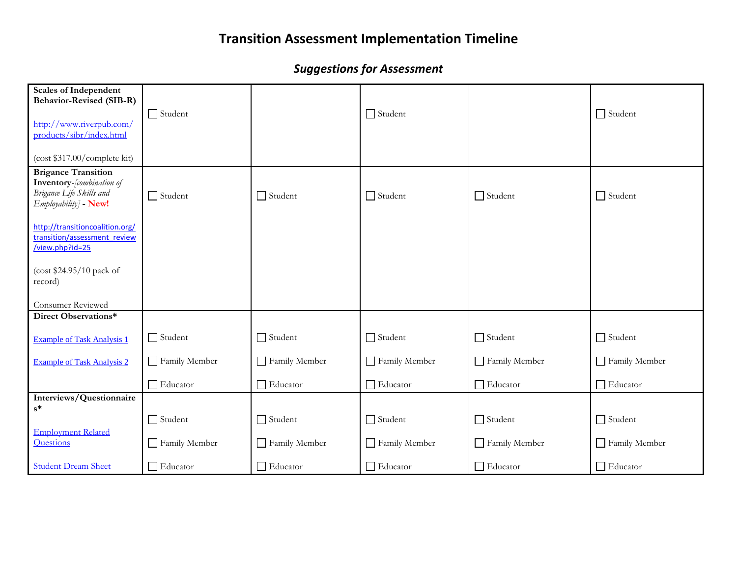| <b>Scales of Independent</b><br><b>Behavior-Revised (SIB-R)</b><br>http://www.riverpub.com/<br>products/sibr/index.html<br>(cost \$317.00/complete kit) | $\Box$ Student  |                 | $\Box$ Student  |                 | $\Box$ Student |
|---------------------------------------------------------------------------------------------------------------------------------------------------------|-----------------|-----------------|-----------------|-----------------|----------------|
| <b>Brigance Transition</b><br><b>Inventory</b> -[combination of<br>Brigance Life Skills and<br>Employability] - New!                                    | $\Box$ Student  | $\Box$ Student  | $\Box$ Student  | $\Box$ Student  | $\Box$ Student |
| http://transitioncoalition.org/<br>transition/assessment review<br>/view.php?id=25                                                                      |                 |                 |                 |                 |                |
| (cost \$24.95/10 pack of<br>record)                                                                                                                     |                 |                 |                 |                 |                |
| Consumer Reviewed                                                                                                                                       |                 |                 |                 |                 |                |
| Direct Observations*                                                                                                                                    |                 |                 |                 |                 |                |
| <b>Example of Task Analysis 1</b>                                                                                                                       | $\Box$ Student  | $\Box$ Student  | $\Box$ Student  | $\Box$ Student  | $\Box$ Student |
| <b>Example of Task Analysis 2</b>                                                                                                                       | Family Member   | Family Member   | Family Member   | Family Member   | Family Member  |
|                                                                                                                                                         | $\Box$ Educator | □ Educator      | $\Box$ Educator | $\Box$ Educator | Educator       |
| Interviews/Questionnaire                                                                                                                                |                 |                 |                 |                 |                |
| $s^*$                                                                                                                                                   | $\Box$ Student  | $\Box$ Student  | $\Box$ Student  | $\Box$ Student  | $\Box$ Student |
| <b>Employment Related</b>                                                                                                                               |                 |                 |                 |                 |                |
| Questions                                                                                                                                               | Family Member   | Family Member   | Family Member   | Family Member   | Family Member  |
| <b>Student Dream Sheet</b>                                                                                                                              | $\Box$ Educator | $\Box$ Educator | Educator        | $\Box$ Educator | Educator       |